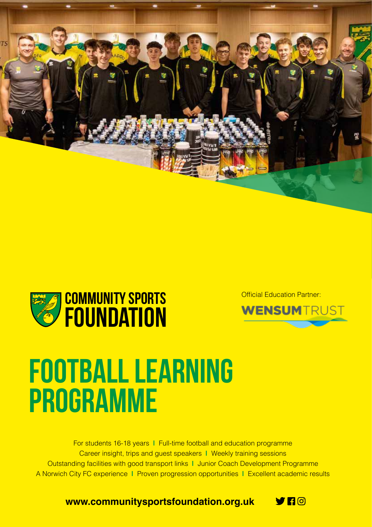



Official Education Partner:



# **Football Learning Programme**

For students 16-18 years **|** Full-time football and education programme Career insight, trips and guest speakers **|** Weekly training sessions Outstanding facilities with good transport links **|** Junior Coach Development Programme A Norwich City FC experience **|** Proven progression opportunities **|** Excellent academic results

**www.communitysportsfoundation.org.uk**

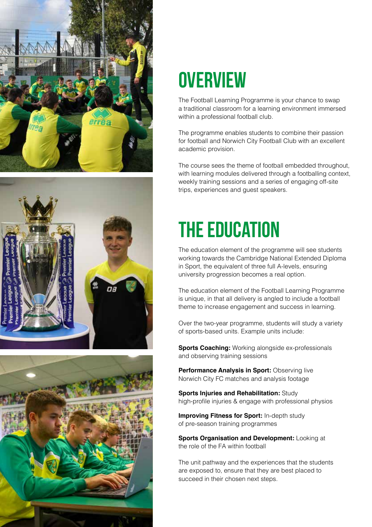





### **overview**

The Football Learning Programme is your chance to swap a traditional classroom for a learning environment immersed within a professional football club.

The programme enables students to combine their passion for football and Norwich City Football Club with an excellent academic provision.

The course sees the theme of football embedded throughout, with learning modules delivered through a footballing context, weekly training sessions and a series of engaging off-site trips, experiences and guest speakers.

## **the education**

The education element of the programme will see students working towards the Cambridge National Extended Diploma in Sport, the equivalent of three full A-levels, ensuring university progression becomes a real option.

The education element of the Football Learning Programme is unique, in that all delivery is angled to include a football theme to increase engagement and success in learning.

Over the two-year programme, students will study a variety of sports-based units. Example units include:

**Sports Coaching:** Working alongside ex-professionals and observing training sessions

**Performance Analysis in Sport: Observing live** Norwich City FC matches and analysis footage

**Sports Injuries and Rehabilitation:** Study high-profile injuries & engage with professional physios

**Improving Fitness for Sport:** In-depth study of pre-season training programmes

**Sports Organisation and Development: Looking at** the role of the FA within football

The unit pathway and the experiences that the students are exposed to, ensure that they are best placed to succeed in their chosen next steps.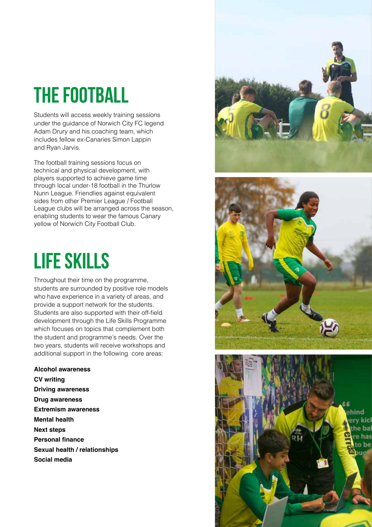## **the football**

Students will access weekly training sessions under the guidance of Norwich City FC legend Adam Drury and his coaching team, which includes fellow ex-Canaries Simon Lappin and Ryan Jarvis.

The football training sessions focus on technical and physical development, with players supported to achieve game time through local under-18 football in the Thurlow Nunn League. Friendlies against equivalent sides from other Premier League / Football League clubs will be arranged across the season, enabling students to wear the famous Canary yellow of Norwich City Football Club.

### **life skills**

Throughout their time on the programme, students are surrounded by positive role models who have experience in a variety of areas, and provide a support network for the students. Students are also supported with their off-field development through the Life Skills Programme which focuses on topics that complement both the student and programme's needs. Over the two years, students will receive workshops and additional support in the following core areas:

**Alcohol awareness CV writing Driving awareness Drug awareness Extremism awareness Mental health Next steps Personal finance Sexual health / relationships Social media**





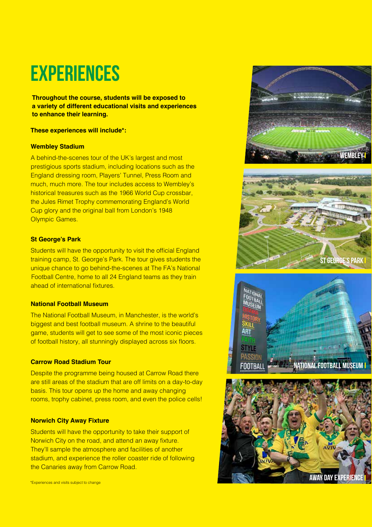### **Experiences**

**Throughout the course, students will be exposed to a variety of different educational visits and experiences to enhance their learning.** 

#### **These experiences will include\*:**

#### **Wembley Stadium**

A behind-the-scenes tour of the UK's largest and most prestigious sports stadium, including locations such as the England dressing room, Players' Tunnel, Press Room and much, much more. The tour includes access to Wembley's historical treasures such as the 1966 World Cup crossbar, the Jules Rimet Trophy commemorating England's World Cup glory and the original ball from London's 1948 Olympic Games.

#### **St George's Park**

Students will have the opportunity to visit the official England training camp, St. George's Park. The tour gives students the unique chance to go behind-the-scenes at The FA's National Football Centre, home to all 24 England teams as they train ahead of international fixtures.

#### **National Football Museum**

The National Football Museum, in Manchester, is the world's biggest and best football museum. A shrine to the beautiful game, students will get to see some of the most iconic pieces of football history, all stunningly displayed across six floors.

#### **Carrow Road Stadium Tour**

Despite the programme being housed at Carrow Road there are still areas of the stadium that are off limits on a day-to-day basis. This tour opens up the home and away changing rooms, trophy cabinet, press room, and even the police cells!

#### **Norwich City Away Fixture**

Students will have the opportunity to take their support of Norwich City on the road, and attend an away fixture. They'll sample the atmosphere and facilities of another stadium, and experience the roller coaster ride of following the Canaries away from Carrow Road.





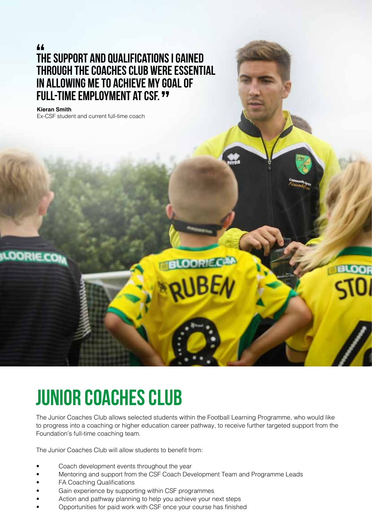### **The support and qualifications i gained " through the coaches club were essential in allowing me to achieve my goal of full-time employment at CSF. "**

#### **Kieran Smith**

Ex-CSF student and current full-time coach

### **JUNIOR COACHES CLUB**

The Junior Coaches Club allows selected students within the Football Learning Programme, who would like to progress into a coaching or higher education career pathway, to receive further targeted support from the Foundation's full-time coaching team.

**LOORIE.CAN** 

The Junior Coaches Club will allow students to benefit from:

- Coach development events throughout the year
- Mentoring and support from the CSF Coach Development Team and Programme Leads
- FA Coaching Qualifications
- Gain experience by supporting within CSF programmes
- Action and pathway planning to help you achieve your next steps
- Opportunities for paid work with CSF once your course has finished